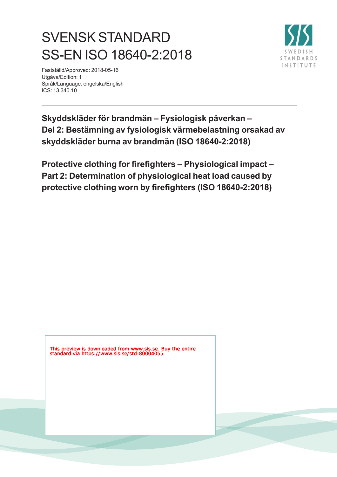# SVENSK STANDARD SS-EN ISO 18640-2:2018



Fastställd/Approved: 2018-05-16 Utgåva/Edition: 1 Språk/Language: engelska/English ICS: 13.340.10

**Skyddskläder för brandmän – Fysiologisk påverkan – Del 2: Bestämning av fysiologisk värmebelastning orsakad av skyddskläder burna av brandmän (ISO 18640‑2:2018)**

**Protective clothing for firefighters – Physiological impact – Part 2: Determination of physiological heat load caused by protective clothing worn by firefighters (ISO 18640‑2:2018)**

This preview is downloaded from www.sis.se. Buy the entire standard via https://www.sis.se/std-80004055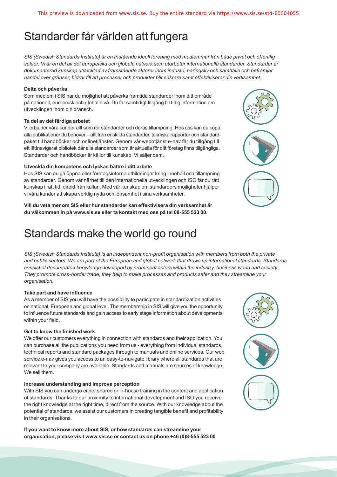## Standarder får världen att fungera

*SIS (Swedish Standards Institute) är en fristående ideell förening med medlemmar från både privat och offentlig sektor. Vi är en del av det europeiska och globala nätverk som utarbetar internationella standarder. Standarder är dokumenterad kunskap utvecklad av framstående aktörer inom industri, näringsliv och samhälle och befrämjar handel över gränser, bidrar till att processer och produkter blir säkrare samt effektiviserar din verksamhet.* 

#### **Delta och påverka**

Som medlem i SIS har du möjlighet att påverka framtida standarder inom ditt område på nationell, europeisk och global nivå. Du får samtidigt tillgång till tidig information om utvecklingen inom din bransch.

#### **Ta del av det färdiga arbetet**

Vi erbjuder våra kunder allt som rör standarder och deras tillämpning. Hos oss kan du köpa alla publikationer du behöver – allt från enskilda standarder, tekniska rapporter och standardpaket till handböcker och onlinetjänster. Genom vår webbtjänst e-nav får du tillgång till ett lättnavigerat bibliotek där alla standarder som är aktuella för ditt företag finns tillgängliga. Standarder och handböcker är källor till kunskap. Vi säljer dem.

#### **Utveckla din kompetens och lyckas bättre i ditt arbete**

Hos SIS kan du gå öppna eller företagsinterna utbildningar kring innehåll och tillämpning av standarder. Genom vår närhet till den internationella utvecklingen och ISO får du rätt kunskap i rätt tid, direkt från källan. Med vår kunskap om standarders möjligheter hjälper vi våra kunder att skapa verklig nytta och lönsamhet i sina verksamheter.

**Vill du veta mer om SIS eller hur standarder kan effektivisera din verksamhet är du välkommen in på www.sis.se eller ta kontakt med oss på tel 08-555 523 00.**

## Standards make the world go round

*SIS (Swedish Standards Institute) is an independent non-profit organisation with members from both the private and public sectors. We are part of the European and global network that draws up international standards. Standards consist of documented knowledge developed by prominent actors within the industry, business world and society. They promote cross-border trade, they help to make processes and products safer and they streamline your organisation.*

#### **Take part and have influence**

As a member of SIS you will have the possibility to participate in standardization activities on national, European and global level. The membership in SIS will give you the opportunity to influence future standards and gain access to early stage information about developments within your field.

#### **Get to know the finished work**

We offer our customers everything in connection with standards and their application. You can purchase all the publications you need from us - everything from individual standards, technical reports and standard packages through to manuals and online services. Our web service e-nav gives you access to an easy-to-navigate library where all standards that are relevant to your company are available. Standards and manuals are sources of knowledge. We sell them.

#### **Increase understanding and improve perception**

With SIS you can undergo either shared or in-house training in the content and application of standards. Thanks to our proximity to international development and ISO you receive the right knowledge at the right time, direct from the source. With our knowledge about the potential of standards, we assist our customers in creating tangible benefit and profitability in their organisations.

**If you want to know more about SIS, or how standards can streamline your organisation, please visit www.sis.se or contact us on phone +46 (0)8-555 523 00**



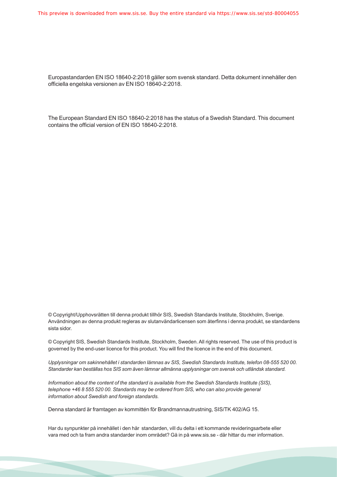Europastandarden EN ISO 18640-2:2018 gäller som svensk standard. Detta dokument innehåller den officiella engelska versionen av EN ISO 18640-2:2018.

The European Standard EN ISO 18640-2:2018 has the status of a Swedish Standard. This document contains the official version of EN ISO 18640-2:2018.

© Copyright/Upphovsrätten till denna produkt tillhör SIS, Swedish Standards Institute, Stockholm, Sverige. Användningen av denna produkt regleras av slutanvändarlicensen som återfinns i denna produkt, se standardens sista sidor.

© Copyright SIS, Swedish Standards Institute, Stockholm, Sweden. All rights reserved. The use of this product is governed by the end-user licence for this product. You will find the licence in the end of this document.

*Upplysningar om sakinnehållet i standarden lämnas av SIS, Swedish Standards Institute, telefon 08-555 520 00. Standarder kan beställas hos SIS som även lämnar allmänna upplysningar om svensk och utländsk standard.*

*Information about the content of the standard is available from the Swedish Standards Institute (SIS), telephone +46 8 555 520 00. Standards may be ordered from SIS, who can also provide general information about Swedish and foreign standards.*

Denna standard är framtagen av kommittén för Brandmannautrustning, SIS/TK 402/AG 15.

Har du synpunkter på innehållet i den här standarden, vill du delta i ett kommande revideringsarbete eller vara med och ta fram andra standarder inom området? Gå in på www.sis.se - där hittar du mer information.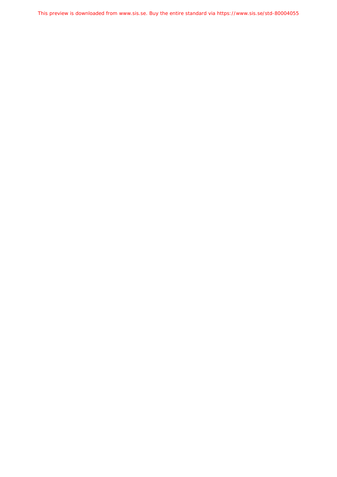This preview is downloaded from www.sis.se. Buy the entire standard via https://www.sis.se/std-80004055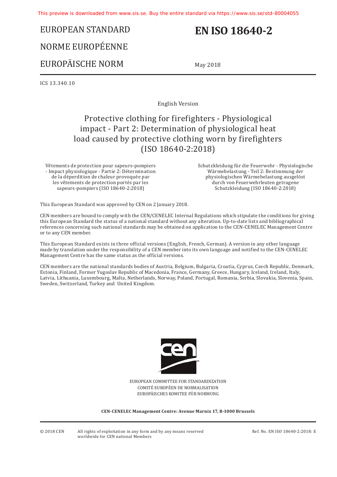### EUROPEAN STANDARD

## **EN ISO 18640-2**

## NORME EUROPÉENNE

### EUROPÄISCHE NORM

May 2018

ICS 13.340.10

English Version

### Protective clothing for firefighters - Physiological impact - Part 2: Determination of physiological heat load caused by protective clothing worn by firefighters (ISO 18640-2:2018)

Vêtements de protection pour sapeurs-pompiers - Impact physiologique - Partie 2: Détermination de la déperdition de chaleur provoquée par les vêtements de protection portés par les sapeurs-pompiers (ISO 18640-2:2018)

Schutzkleidung für die Feuerwehr - Physiologische Wärmebelastung - Teil 2: Bestimmung der physiologischen Wärmebelastung ausgelöst durch von Feuerwehrleuten getragene Schutzkleidung (ISO 18640-2:2018)

This European Standard was approved by CEN on 2 January 2018.

CEN members are bound to comply with the CEN/CENELEC Internal Regulations which stipulate the conditions for giving this European Standard the status of a national standard without any alteration. Up-to-date lists and bibliographical references concerning such national standards may be obtained on application to the CEN-CENELEC Management Centre or to any CEN member.

This European Standard exists in three official versions (English, French, German). A version in any other language made by translation under the responsibility of a CEN member into its own language and notified to the CEN-CENELEC Management Centre has the same status as the official versions.

CEN members are the national standards bodies of Austria, Belgium, Bulgaria, Croatia, Cyprus, Czech Republic, Denmark, Estonia, Finland, Former Yugoslav Republic of Macedonia, France, Germany, Greece, Hungary, Iceland, Ireland, Italy, Latvia, Lithuania, Luxembourg, Malta, Netherlands, Norway, Poland, Portugal, Romania, Serbia, Slovakia, Slovenia, Spain, Sweden, Switzerland, Turkey and United Kingdom.



EUROPEAN COMMITTEE FOR STANDARDIZATION COMITÉ EUROPÉEN DE NORMALISATION EUROPÄISCHES KOMITEE FÜR NORMUNG

#### **CEN-CENELEC Management Centre: Avenue Marnix 17, B-1000 Brussels**

© 2018 CEN All rights of exploitation in any form and by any means reserved Ref. No. EN ISO 18640-2:2018: E worldwide for CEN national Members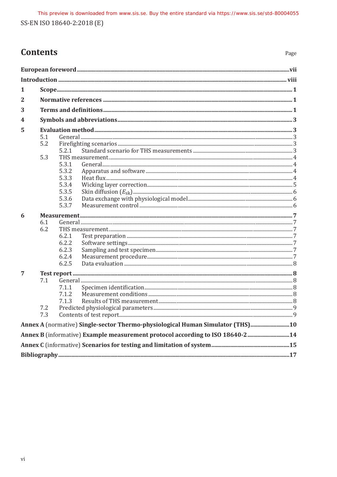## **Contents**

| . .<br>۹<br>×<br>v<br>× |
|-------------------------|
|-------------------------|

| 1                                                                              |     |       |  |  |  |
|--------------------------------------------------------------------------------|-----|-------|--|--|--|
|                                                                                |     |       |  |  |  |
| 2                                                                              |     |       |  |  |  |
| 3                                                                              |     |       |  |  |  |
| 4                                                                              |     |       |  |  |  |
| 5                                                                              |     |       |  |  |  |
|                                                                                | 5.1 |       |  |  |  |
|                                                                                | 5.2 |       |  |  |  |
|                                                                                |     | 5.2.1 |  |  |  |
|                                                                                | 5.3 |       |  |  |  |
|                                                                                |     | 5.3.1 |  |  |  |
|                                                                                |     | 5.3.2 |  |  |  |
|                                                                                |     | 5.3.3 |  |  |  |
|                                                                                |     | 5.3.4 |  |  |  |
|                                                                                |     | 5.3.5 |  |  |  |
|                                                                                |     | 5.3.6 |  |  |  |
|                                                                                |     | 5.3.7 |  |  |  |
| 6                                                                              |     |       |  |  |  |
|                                                                                | 6.1 |       |  |  |  |
|                                                                                | 6.2 |       |  |  |  |
|                                                                                |     | 6.2.1 |  |  |  |
|                                                                                |     | 6.2.2 |  |  |  |
|                                                                                |     | 6.2.3 |  |  |  |
|                                                                                |     | 6.2.4 |  |  |  |
|                                                                                |     | 6.2.5 |  |  |  |
| 7                                                                              |     |       |  |  |  |
|                                                                                | 7.1 |       |  |  |  |
|                                                                                |     | 7.1.1 |  |  |  |
|                                                                                |     | 7.1.2 |  |  |  |
|                                                                                |     | 7.1.3 |  |  |  |
|                                                                                | 7.2 |       |  |  |  |
|                                                                                | 7.3 |       |  |  |  |
| Annex A (normative) Single-sector Thermo-physiological Human Simulator (THS)10 |     |       |  |  |  |
| Annex B (informative) Example measurement protocol according to ISO 18640-214  |     |       |  |  |  |
|                                                                                |     |       |  |  |  |
|                                                                                |     |       |  |  |  |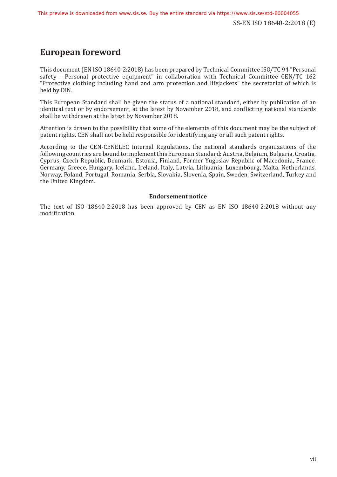## <span id="page-6-0"></span>**European foreword**

This document (EN ISO 18640-2:2018) has been prepared by Technical Committee ISO/TC 94 "Personal safety - Personal protective equipment" in collaboration with Technical Committee CEN/TC 162 "Protective clothing including hand and arm protection and lifejackets" the secretariat of which is held by DIN.

This European Standard shall be given the status of a national standard, either by publication of an identical text or by endorsement, at the latest by November 2018, and conflicting national standards shall be withdrawn at the latest by November 2018.

Attention is drawn to the possibility that some of the elements of this document may be the subject of patent rights. CEN shall not be held responsible for identifying any or all such patent rights.

According to the CEN-CENELEC Internal Regulations, the national standards organizations of the following countries are bound to implement this European Standard: Austria, Belgium, Bulgaria, Croatia, Cyprus, Czech Republic, Denmark, Estonia, Finland, Former Yugoslav Republic of Macedonia, France, Germany, Greece, Hungary, Iceland, Ireland, Italy, Latvia, Lithuania, Luxembourg, Malta, Netherlands, Norway, Poland, Portugal, Romania, Serbia, Slovakia, Slovenia, Spain, Sweden, Switzerland, Turkey and the United Kingdom.

#### **Endorsement notice**

The text of ISO 18640-2:2018 has been approved by CEN as EN ISO 18640-2:2018 without any modification.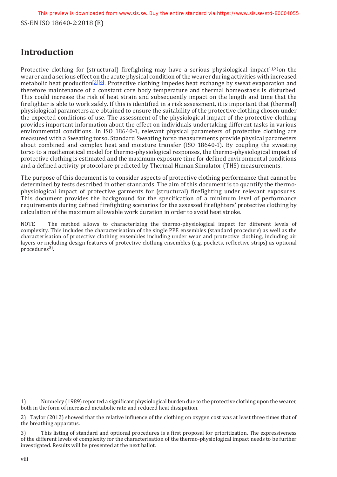## <span id="page-7-0"></span>**Introduction**

Protective clothing for (structural) firefighting may have a serious physiological impact<sup>1),2</sup>) on the wearer and a serious effect on the acute physical condition of the wearer during activities with increased metabolic heat production[3][4]. Protective clothing impedes heat exchange by sweat evaporation and therefore maintenance of a constant core body temperature and thermal homeostasis is disturbed. This could increase the risk of heat strain and subsequently impact on the length and time that the firefighter is able to work safely. If this is identified in a risk assessment, it is important that (thermal) physiological parameters are obtained to ensure the suitability of the protective clothing chosen under the expected conditions of use. The assessment of the physiological impact of the protective clothing provides important information about the effect on individuals undertaking different tasks in various environmental conditions. In ISO 18640-1, relevant physical parameters of protective clothing are measured with a Sweating torso. Standard Sweating torso measurements provide physical parameters about combined and complex heat and moisture transfer (ISO 18640-1). By coupling the sweating torso to a mathematical model for thermo-physiological responses, the thermo-physiological impact of protective clothing is estimated and the maximum exposure time for defined environmental conditions and a defined activity protocol are predicted by Thermal Human Simulator (THS) measurements.

The purpose of this document is to consider aspects of protective clothing performance that cannot be determined by tests described in other standards. The aim of this document is to quantify the thermophysiological impact of protective garments for (structural) firefighting under relevant exposures. This document provides the background for the specification of a minimum level of performance requirements during defined firefighting scenarios for the assessed firefighters' protective clothing by calculation of the maximum allowable work duration in order to avoid heat stroke.

NOTE The method allows to characterizing the thermo-physiological impact for different levels of complexity. This includes the characterisation of the single PPE ensembles (standard procedure) as well as the characterisation of protective clothing ensembles including under wear and protective clothing, including air layers or including design features of protective clothing ensembles (e.g. pockets, reflective strips) as optional procedures<sup>3)</sup>.

<sup>1)</sup> Nunneley (1989) reported a significant physiological burden due to the protective clothing upon the wearer, both in the form of increased metabolic rate and reduced heat dissipation.

<sup>2)</sup> Taylor (2012) showed that the relative influence of the clothing on oxygen cost was at least three times that of the breathing apparatus.

<sup>3)</sup> This listing of standard and optional procedures is a first proposal for prioritization. The expressiveness of the different levels of complexity for the characterisation of the thermo-physiological impact needs to be further investigated. Results will be presented at the next ballot.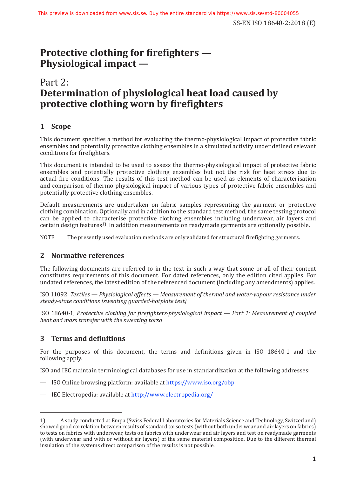## **Protective clothing for firefighters — Physiological impact —**

## Part 2: **Determination of physiological heat load caused by protective clothing worn by firefighters**

### <span id="page-8-0"></span>**1 Scope**

This document specifies a method for evaluating the thermo-physiological impact of protective fabric ensembles and potentially protective clothing ensembles in a simulated activity under defined relevant conditions for firefighters.

This document is intended to be used to assess the thermo-physiological impact of protective fabric ensembles and potentially protective clothing ensembles but not the risk for heat stress due to actual fire conditions. The results of this test method can be used as elements of characterisation and comparison of thermo-physiological impact of various types of protective fabric ensembles and potentially protective clothing ensembles.

Default measurements are undertaken on fabric samples representing the garment or protective clothing combination. Optionally and in addition to the standard test method, the same testing protocol can be applied to characterise protective clothing ensembles including underwear, air layers and certain design features<sup>1)</sup>. In addition measurements on readymade garments are optionally possible.

NOTE The presently used evaluation methods are only validated for structural firefighting garments.

### <span id="page-8-1"></span>**2 Normative references**

The following documents are referred to in the text in such a way that some or all of their content constitutes requirements of this document. For dated references, only the edition cited applies. For undated references, the latest edition of the referenced document (including any amendments) applies.

ISO 11092, *Textiles — Physiological effects — Measurement of thermal and water-vapour resistance under steady-state conditions (sweating guarded-hotplate test)*

ISO 18640-1, *Protective clothing for firefighters-physiological impact — Part 1: Measurement of coupled heat and mass transfer with the sweating torso*

### <span id="page-8-2"></span>**3 Terms and definitions**

For the purposes of this document, the terms and definitions given in ISO 18640-1 and the following apply.

ISO and IEC maintain terminological databases for use in standardization at the following addresses:

- ISO Online browsing platform: available at <https://www.iso.org/obp>
- IEC Electropedia: available at<http://www.electropedia.org/>

<sup>1)</sup> A study conducted at Empa (Swiss Federal Laboratories for Materials Science and Technology, Switzerland) showed good correlation between results of standard torso tests (without both underwear and air layers on fabrics) to tests on fabrics with underwear, tests on fabrics with underwear and air layers and test on readymade garments (with underwear and with or without air layers) of the same material composition. Due to the different thermal insulation of the systems direct comparison of the results is not possible.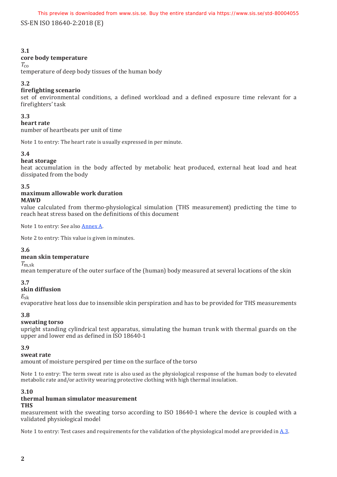This preview is downloaded from www.sis.se. Buy the entire standard via https://www.sis.se/std-80004055

SS-EN ISO 18640-2:2018 (E)

### **3.1**

#### **core body temperature**

 $T_{\rm co}$ 

temperature of deep body tissues of the human body

#### **3.2**

#### **firefighting scenario**

set of environmental conditions, a defined workload and a defined exposure time relevant for a firefighters' task

#### **3.3**

#### **heart rate**

number of heartbeats per unit of time

Note 1 to entry: The heart rate is usually expressed in per minute.

### **3.4**

#### **heat storage**

heat accumulation in the body affected by metabolic heat produced, external heat load and heat dissipated from the body

**3.5**

#### **maximum allowable work duration MAWD**

value calculated from thermo-physiological simulation (THS measurement) predicting the time to reach heat stress based on the definitions of this document

Note 1 to entry: See also Annex A.

Note 2 to entry: This value is given in minutes.

#### **3.6**

#### **mean skin temperature**

*T*m,sk

mean temperature of the outer surface of the (human) body measured at several locations of the skin

#### **3.7**

#### **skin diffusion**

## *E*sk

evaporative heat loss due to insensible skin perspiration and has to be provided for THS measurements

### **3.8**

#### **sweating torso**

upright standing cylindrical test apparatus, simulating the human trunk with thermal guards on the upper and lower end as defined in ISO 18640-1

#### **3.9**

#### **sweat rate**

amount of moisture perspired per time on the surface of the torso

Note 1 to entry: The term sweat rate is also used as the physiological response of the human body to elevated metabolic rate and/or activity wearing protective clothing with high thermal insulation.

#### **3.10**

#### **thermal human simulator measurement**

#### **THS**

measurement with the sweating torso according to ISO 18640-1 where the device is coupled with a validated physiological model

Note 1 to entry: Test cases and requirements for the validation of the physiological model are provided in A.3.